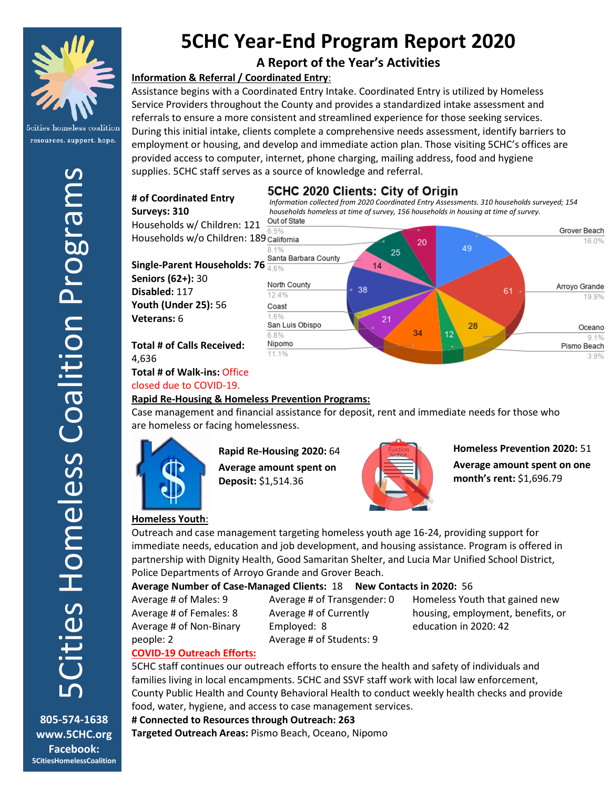

resources. support. hope.

# **5CHC Year-End Program Report 2020**

# **A Report of the Year's Activities**

# **Information & Referral / Coordinated Entry**:

Assistance begins with a Coordinated Entry Intake. Coordinated Entry is utilized by Homeless Service Providers throughout the County and provides a standardized intake assessment and referrals to ensure a more consistent and streamlined experience for those seeking services. During this initial intake, clients complete a comprehensive needs assessment, identify barriers to employment or housing, and develop and immediate action plan. Those visiting 5CHC's offices are provided access to computer, internet, phone charging, mailing address, food and hygiene supplies. 5CHC staff serves as a source of knowledge and referral.

# es Homeless Coalition Programs 5Cities Homeless Coalition Programs **805-574-1638**

# 5CHC 2020 Clients: City of Origin

*Information collected from 2020 Coordinated Entry Assessments. 310 households surveyed; 154 households homeless at time of survey, 156 households in housing at time of survey.*

Households w/ Children: 121 Households w/o Children: 189

**Single-Parent Households: 76 Seniors (62+):** 30 **Disabled:** 117 **Youth (Under 25):** 56 **Veterans:** 6

**# of Coordinated Entry** 

**Surveys: 310**

**Total # of Calls Received:** 4,636 **Total # of Walk-ins:** Office closed due to COVID-19.



### **Rapid Re-Housing & Homeless Prevention Programs:**

Case management and financial assistance for deposit, rent and immediate needs for those who are homeless or facing homelessness.



**Rapid Re-Housing 2020:** 64 **Average amount spent on Deposit:** \$1,514.36



**Homeless Prevention 2020:** 51 **Average amount spent on one month's rent:** \$1,696.79

### **Homeless Youth**:

Outreach and case management targeting homeless youth age 16-24, providing support for immediate needs, education and job development, and housing assistance. Program is offered in partnership with Dignity Health, Good Samaritan Shelter, and Lucia Mar Unified School District, Police Departments of Arroyo Grande and Grover Beach.

### **Average Number of Case-Managed Clients:** 18 **New Contacts in 2020:** 56

Average # of Males: 9 Average # of Females: 8 Average # of Non-Binary people: 2

Average # of Transgender: 0 Average # of Currently Employed: 8 Average # of Students: 9

Homeless Youth that gained new housing, employment, benefits, or education in 2020: 42

# **COVID-19 Outreach Efforts:**

5CHC staff continues our outreach efforts to ensure the health and safety of individuals and families living in local encampments. 5CHC and SSVF staff work with local law enforcement, County Public Health and County Behavioral Health to conduct weekly health checks and provide food, water, hygiene, and access to case management services.

### **# Connected to Resources through Outreach: 263**

**Targeted Outreach Areas:** Pismo Beach, Oceano, Nipomo

**www.5CHC.org Facebook: 5CitiesHomelessCoalition**